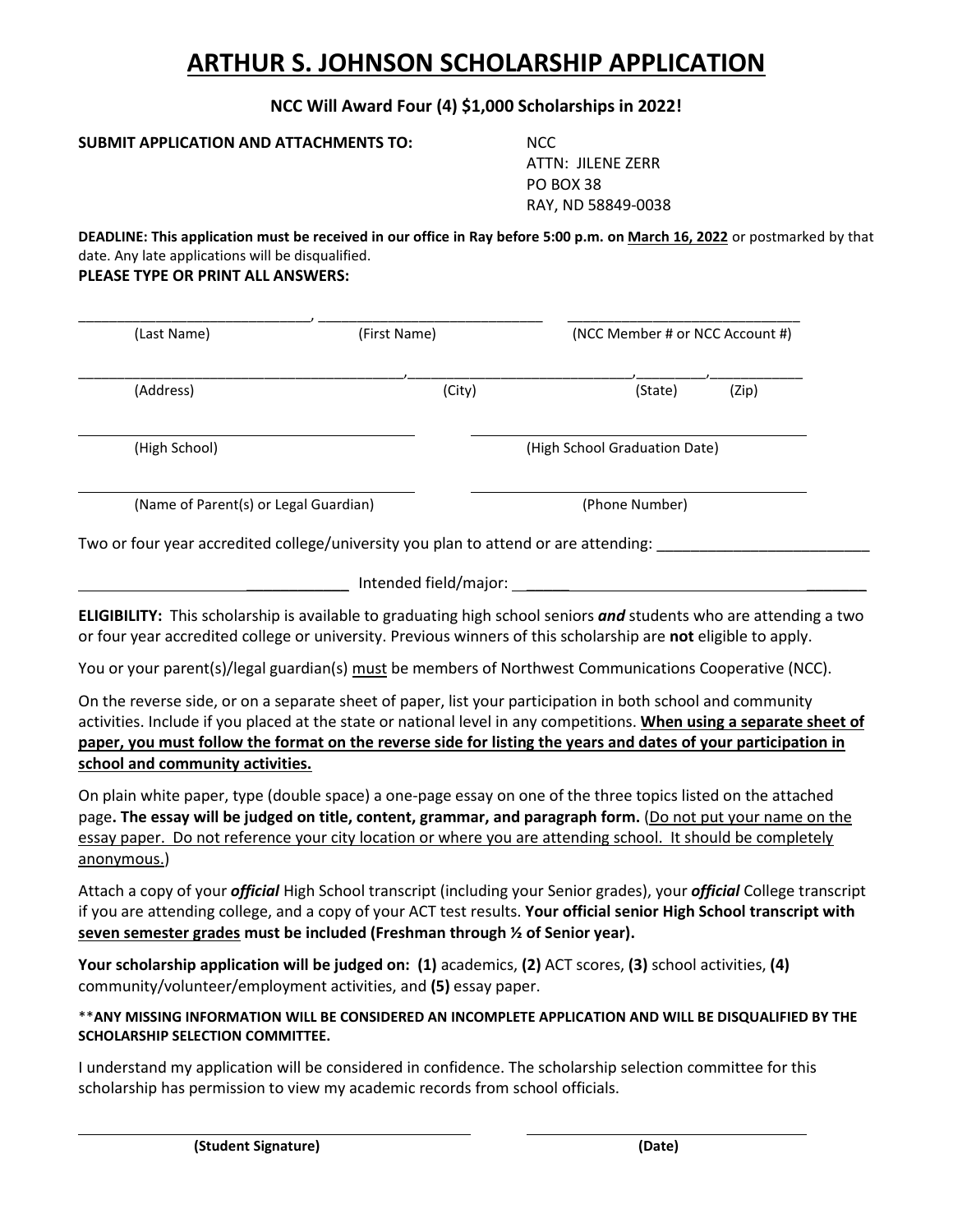## **ARTHUR S. JOHNSON SCHOLARSHIP APPLICATION**

**NCC Will Award Four (4) \$1,000 Scholarships in 2022!** 

**SUBMIT APPLICATION AND ATTACHMENTS TO:** NCC

ATTN: JILENE ZERR PO BOX 38 RAY, ND 58849-0038

**DEADLINE: This application must be received in our office in Ray before 5:00 p.m. on March 16, 2022** or postmarked by that date. Any late applications will be disqualified.

**PLEASE TYPE OR PRINT ALL ANSWERS:**

| (Last Name)                           | (First Name) | (NCC Member # or NCC Account #) |  |  |
|---------------------------------------|--------------|---------------------------------|--|--|
| (Address)                             | (City)       | (State)<br>(Zip)                |  |  |
| (High School)                         |              | (High School Graduation Date)   |  |  |
| (Name of Parent(s) or Legal Guardian) |              | (Phone Number)                  |  |  |

Two or four year accredited college/university you plan to attend or are attending:

| Intended field/major: |  |
|-----------------------|--|
|                       |  |

**ELIGIBILITY:** This scholarship is available to graduating high school seniors *and* students who are attending a two or four year accredited college or university. Previous winners of this scholarship are **not** eligible to apply.

You or your parent(s)/legal guardian(s) must be members of Northwest Communications Cooperative (NCC).

On the reverse side, or on a separate sheet of paper, list your participation in both school and community activities. Include if you placed at the state or national level in any competitions. **When using a separate sheet of paper, you must follow the format on the reverse side for listing the years and dates of your participation in school and community activities.** 

On plain white paper, type (double space) a one-page essay on one of the three topics listed on the attached page**. The essay will be judged on title, content, grammar, and paragraph form.** (Do not put your name on the essay paper. Do not reference your city location or where you are attending school. It should be completely anonymous.)

Attach a copy of your *official* High School transcript (including your Senior grades), your *official* College transcript if you are attending college, and a copy of your ACT test results. **Your official senior High School transcript with seven semester grades must be included (Freshman through ½ of Senior year).**

**Your scholarship application will be judged on: (1)** academics, **(2)** ACT scores, **(3)** school activities, **(4)** community/volunteer/employment activities, and **(5)** essay paper.

\*\***ANY MISSING INFORMATION WILL BE CONSIDERED AN INCOMPLETE APPLICATION AND WILL BE DISQUALIFIED BY THE SCHOLARSHIP SELECTION COMMITTEE.**

I understand my application will be considered in confidence. The scholarship selection committee for this scholarship has permission to view my academic records from school officials.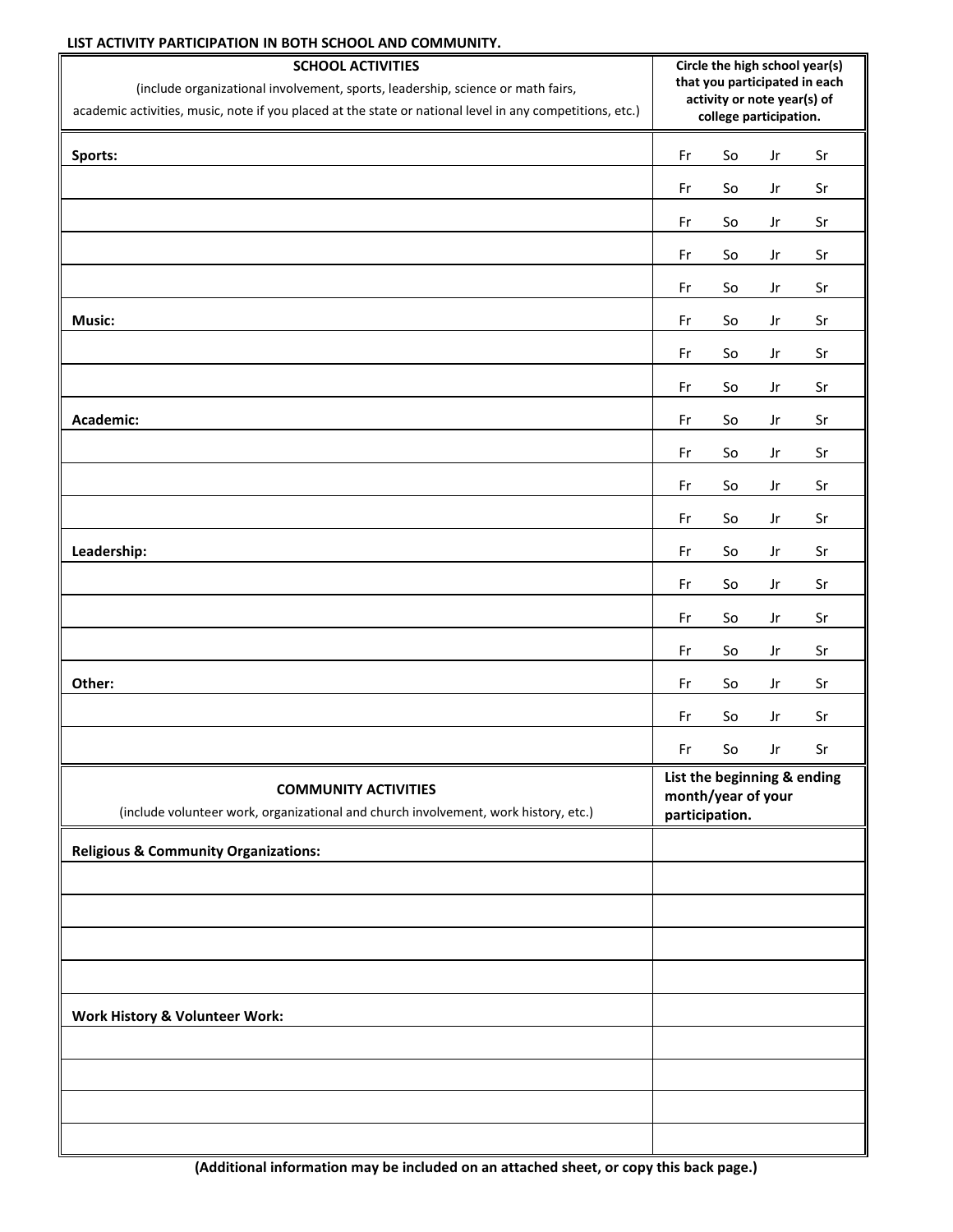## **LIST ACTIVITY PARTICIPATION IN BOTH SCHOOL AND COMMUNITY.**

| <b>SCHOOL ACTIVITIES</b><br>(include organizational involvement, sports, leadership, science or math fairs,<br>academic activities, music, note if you placed at the state or national level in any competitions, etc.) | Circle the high school year(s)<br>that you participated in each<br>activity or note year(s) of<br>college participation. |                              |                        |    |
|-------------------------------------------------------------------------------------------------------------------------------------------------------------------------------------------------------------------------|--------------------------------------------------------------------------------------------------------------------------|------------------------------|------------------------|----|
| Sports:                                                                                                                                                                                                                 | Fr                                                                                                                       | $\operatorname{\mathsf{So}}$ | Jr                     | Sr |
|                                                                                                                                                                                                                         | Fr                                                                                                                       | So                           | Jr                     | Sr |
|                                                                                                                                                                                                                         | Fr                                                                                                                       | So                           | Jr                     | Sr |
|                                                                                                                                                                                                                         | Fr                                                                                                                       | So                           | Jr                     | Sr |
|                                                                                                                                                                                                                         | Fr                                                                                                                       | So                           | Jr                     | Sr |
| Music:                                                                                                                                                                                                                  | Fr                                                                                                                       | So                           | $_{\rm Jr}$            | Sr |
|                                                                                                                                                                                                                         | Fr                                                                                                                       | So                           | Jr                     | Sr |
|                                                                                                                                                                                                                         | $\mathsf{Fr}$                                                                                                            | So                           | Jr                     | Sr |
| Academic:                                                                                                                                                                                                               | Fr                                                                                                                       | So                           | Jr                     | Sr |
|                                                                                                                                                                                                                         | Fr                                                                                                                       | So                           | Jr                     | Sr |
|                                                                                                                                                                                                                         | Fr                                                                                                                       | So                           | Jr                     | Sr |
|                                                                                                                                                                                                                         | Fr                                                                                                                       | So                           | Jr                     | Sr |
| Leadership:                                                                                                                                                                                                             | Fr                                                                                                                       | So                           | Jr                     | Sr |
|                                                                                                                                                                                                                         | Fr                                                                                                                       | So                           | Jr                     | Sr |
|                                                                                                                                                                                                                         | Fr                                                                                                                       | So                           | Jr                     | Sr |
|                                                                                                                                                                                                                         | Fr                                                                                                                       | So                           | $\mathsf{J}\mathsf{r}$ | Sr |
| Other:                                                                                                                                                                                                                  | Fr                                                                                                                       | So                           | Jr                     | Sr |
|                                                                                                                                                                                                                         | Fr                                                                                                                       | So                           | Jr                     | Sr |
|                                                                                                                                                                                                                         | $\mathsf{Fr}$                                                                                                            | $\operatorname{\mathsf{So}}$ | Jr                     | Sr |
| <b>COMMUNITY ACTIVITIES</b><br>(include volunteer work, organizational and church involvement, work history, etc.)                                                                                                      | List the beginning & ending<br>month/year of your<br>participation.                                                      |                              |                        |    |
| <b>Religious &amp; Community Organizations:</b>                                                                                                                                                                         |                                                                                                                          |                              |                        |    |
|                                                                                                                                                                                                                         |                                                                                                                          |                              |                        |    |
|                                                                                                                                                                                                                         |                                                                                                                          |                              |                        |    |
|                                                                                                                                                                                                                         |                                                                                                                          |                              |                        |    |
|                                                                                                                                                                                                                         |                                                                                                                          |                              |                        |    |
| Work History & Volunteer Work:                                                                                                                                                                                          |                                                                                                                          |                              |                        |    |
|                                                                                                                                                                                                                         |                                                                                                                          |                              |                        |    |
|                                                                                                                                                                                                                         |                                                                                                                          |                              |                        |    |
|                                                                                                                                                                                                                         |                                                                                                                          |                              |                        |    |
|                                                                                                                                                                                                                         |                                                                                                                          |                              |                        |    |

**(Additional information may be included on an attached sheet, or copy this back page.)**